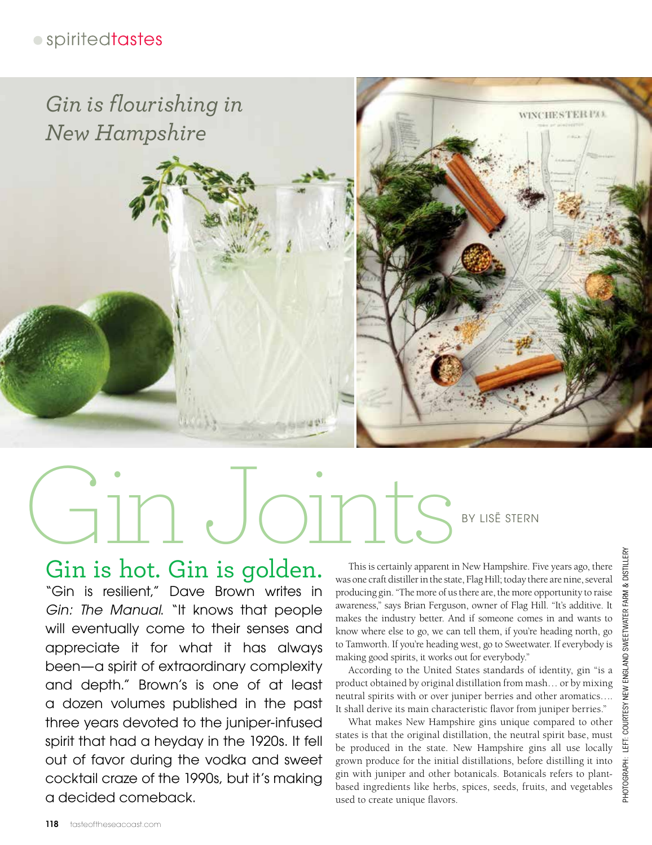## · spiritedtastes



# Gin Joints BY LISË STERN

# Gin is hot. Gin is golden.

"Gin is resilient," Dave Brown writes in *Gin: The Manual*. "It knows that people will eventually come to their senses and appreciate it for what it has always been—a spirit of extraordinary complexity and depth." Brown's is one of at least a dozen volumes published in the past three years devoted to the juniper-infused spirit that had a heyday in the 1920s. It fell out of favor during the vodka and sweet cocktail craze of the 1990s, but it's making a decided comeback.

This is certainly apparent in New Hampshire. Five years ago, there was one craft distiller in the state, Flag Hill; today there are nine, several producing gin. "The more of us there are, the more opportunity to raise awareness," says Brian Ferguson, owner of Flag Hill. "It's additive. It makes the industry better. And if someone comes in and wants to know where else to go, we can tell them, if you're heading north, go to Tamworth. If you're heading west, go to Sweetwater. If everybody is making good spirits, it works out for everybody."

According to the United States standards of identity, gin "is a product obtained by original distillation from mash… or by mixing neutral spirits with or over juniper berries and other aromatics…. It shall derive its main characteristic flavor from juniper berries."

What makes New Hampshire gins unique compared to other states is that the original distillation, the neutral spirit base, must be produced in the state. New Hampshire gins all use locally grown produce for the initial distillations, before distilling it into gin with juniper and other botanicals. Botanicals refers to plantbased ingredients like herbs, spices, seeds, fruits, and vegetables used to create unique flavors.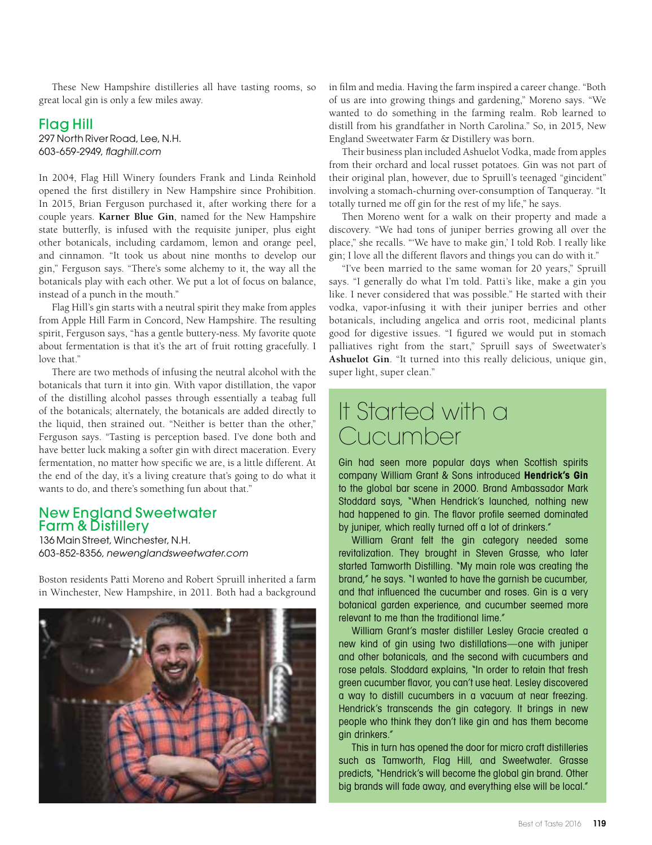These New Hampshire distilleries all have tasting rooms, so great local gin is only a few miles away.

#### Flag Hill

297 North River Road, Lee, N.H. 603-659-2949, *flaghill.com*

In 2004, Flag Hill Winery founders Frank and Linda Reinhold opened the first distillery in New Hampshire since Prohibition. In 2015, Brian Ferguson purchased it, after working there for a couple years. **Karner Blue Gin**, named for the New Hampshire state butterfly, is infused with the requisite juniper, plus eight other botanicals, including cardamom, lemon and orange peel, and cinnamon. "It took us about nine months to develop our gin," Ferguson says. "There's some alchemy to it, the way all the botanicals play with each other. We put a lot of focus on balance, instead of a punch in the mouth."

Flag Hill's gin starts with a neutral spirit they make from apples from Apple Hill Farm in Concord, New Hampshire. The resulting spirit, Ferguson says, "has a gentle buttery-ness. My favorite quote about fermentation is that it's the art of fruit rotting gracefully. I love that."

There are two methods of infusing the neutral alcohol with the botanicals that turn it into gin. With vapor distillation, the vapor of the distilling alcohol passes through essentially a teabag full of the botanicals; alternately, the botanicals are added directly to the liquid, then strained out. "Neither is better than the other," Ferguson says. "Tasting is perception based. I've done both and have better luck making a softer gin with direct maceration. Every fermentation, no matter how specific we are, is a little different. At the end of the day, it's a living creature that's going to do what it wants to do, and there's something fun about that."

#### New England Sweetwater Farm & Distillery

136 Main Street, Winchester, N.H. 603-852-8356, *newenglandsweetwater.com*

Boston residents Patti Moreno and Robert Spruill inherited a farm in Winchester, New Hampshire, in 2011. Both had a background



in film and media. Having the farm inspired a career change. "Both of us are into growing things and gardening," Moreno says. "We wanted to do something in the farming realm. Rob learned to distill from his grandfather in North Carolina." So, in 2015, New England Sweetwater Farm & Distillery was born.

Their business plan included Ashuelot Vodka, made from apples from their orchard and local russet potatoes. Gin was not part of their original plan, however, due to Spruill's teenaged "gincident" involving a stomach-churning over-consumption of Tanqueray. "It totally turned me off gin for the rest of my life," he says.

Then Moreno went for a walk on their property and made a discovery. "We had tons of juniper berries growing all over the place," she recalls. "'We have to make gin,' I told Rob. I really like gin; I love all the different flavors and things you can do with it."

"I've been married to the same woman for 20 years," Spruill says. "I generally do what I'm told. Patti's like, make a gin you like. I never considered that was possible." He started with their vodka, vapor-infusing it with their juniper berries and other botanicals, including angelica and orris root, medicinal plants good for digestive issues. "I figured we would put in stomach palliatives right from the start," Spruill says of Sweetwater's **Ashuelot Gin**. "It turned into this really delicious, unique gin, super light, super clean."

# It Started with a Cucumber

Gin had seen more popular days when Scottish spirits company William Grant & Sons introduced **Hendrick's Gin**  to the global bar scene in 2000. Brand Ambassador Mark Stoddard says, "When Hendrick's launched, nothing new had happened to gin. The flavor profile seemed dominated by juniper, which really turned off a lot of drinkers."

William Grant felt the gin category needed some revitalization. They brought in Steven Grasse, who later started Tamworth Distilling. "My main role was creating the brand," he says. "I wanted to have the garnish be cucumber, and that influenced the cucumber and roses. Gin is a very botanical garden experience, and cucumber seemed more relevant to me than the traditional lime."

William Grant's master distiller Lesley Gracie created a new kind of gin using two distillations—one with juniper and other botanicals, and the second with cucumbers and rose petals. Stoddard explains, "In order to retain that fresh green cucumber flavor, you can't use heat. Lesley discovered a way to distill cucumbers in a vacuum at near freezing. Hendrick's transcends the gin category. It brings in new people who think they don't like gin and has them become gin drinkers."

This in turn has opened the door for micro craft distilleries such as Tamworth, Flag Hill, and Sweetwater. Grasse predicts, "Hendrick's will become the global gin brand. Other big brands will fade away, and everything else will be local."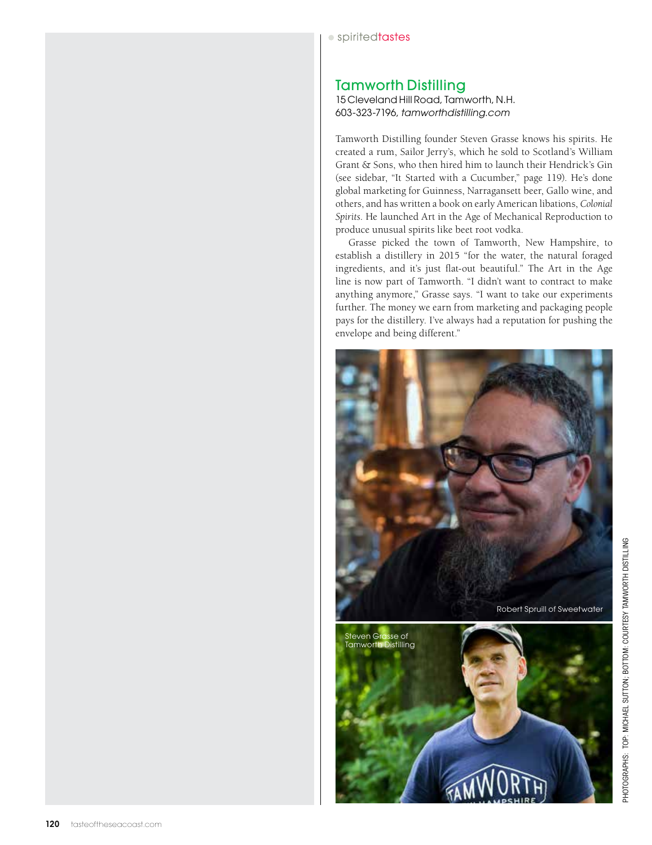#### Tamworth Distilling

15 Cleveland Hill Road, Tamworth, N.H. 603-323-7196, *tamworthdistilling.com*

Tamworth Distilling founder Steven Grasse knows his spirits. He created a rum, Sailor Jerry's, which he sold to Scotland's William Grant & Sons, who then hired him to launch their Hendrick's Gin (see sidebar, "It Started with a Cucumber," page 119). He's done global marketing for Guinness, Narragansett beer, Gallo wine, and others, and has written a book on early American libations, *Colonial Spirits*. He launched Art in the Age of Mechanical Reproduction to produce unusual spirits like beet root vodka.

Grasse picked the town of Tamworth, New Hampshire, to establish a distillery in 2015 "for the water, the natural foraged ingredients, and it's just flat-out beautiful." The Art in the Age line is now part of Tamworth. "I didn't want to contract to make anything anymore," Grasse says. "I want to take our experiments further. The money we earn from marketing and packaging people pays for the distillery. I've always had a reputation for pushing the envelope and being different."

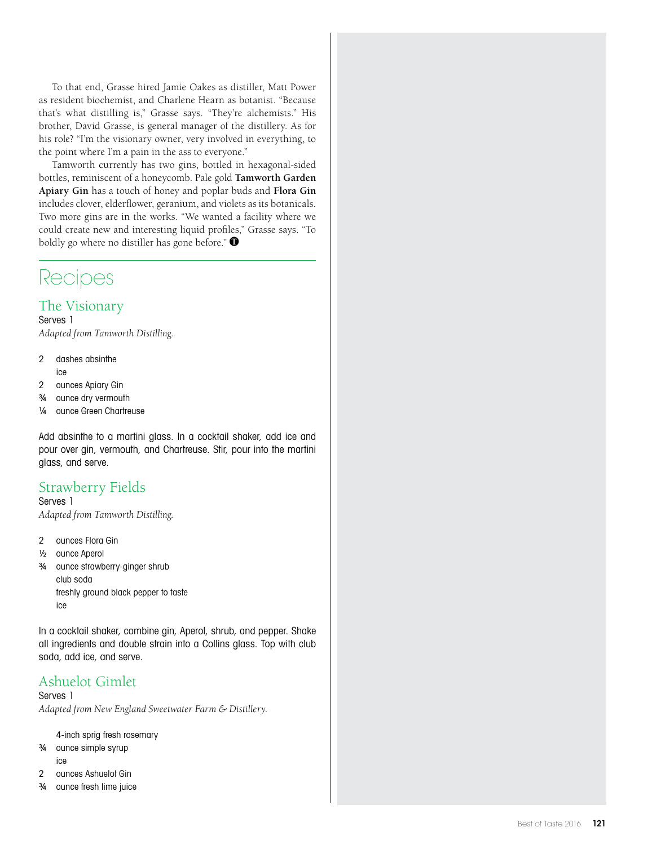To that end, Grasse hired Jamie Oakes as distiller, Matt Power as resident biochemist, and Charlene Hearn as botanist. "Because that's what distilling is," Grasse says. "They're alchemists." His brother, David Grasse, is general manager of the distillery. As for his role? "I'm the visionary owner, very involved in everything, to the point where I'm a pain in the ass to everyone."

Tamworth currently has two gins, bottled in hexagonal-sided bottles, reminiscent of a honeycomb. Pale gold **Tamworth Garden Apiary Gin** has a touch of honey and poplar buds and **Flora Gin**  includes clover, elderflower, geranium, and violets as its botanicals. Two more gins are in the works. "We wanted a facility where we could create new and interesting liquid profiles," Grasse says. "To boldly go where no distiller has gone before."  $\bullet$ 

# Recipes

## The Visionary

Serves 1 *Adapted from Tamworth Distilling.*

- 2 dashes absinthe ice
- 2 ounces Apiary Gin
- ¾ ounce dry vermouth
- ¼ ounce Green Chartreuse

Add absinthe to a martini glass. In a cocktail shaker, add ice and pour over gin, vermouth, and Chartreuse. Stir, pour into the martini glass, and serve.

### Strawberry Fields

Serves 1 *Adapted from Tamworth Distilling.*

- 2 ounces Flora Gin
- ½ ounce Aperol
- ¾ ounce strawberry-ginger shrub club soda freshly ground black pepper to taste ice

In a cocktail shaker, combine gin, Aperol, shrub, and pepper. Shake all ingredients and double strain into a Collins glass. Top with club soda, add ice, and serve.

## Ashuelot Gimlet

Serves 1

*Adapted from New England Sweetwater Farm & Distillery.*

4-inch sprig fresh rosemary

- ¾ ounce simple syrup
	- ice
- 2 ounces Ashuelot Gin
- ¾ ounce fresh lime juice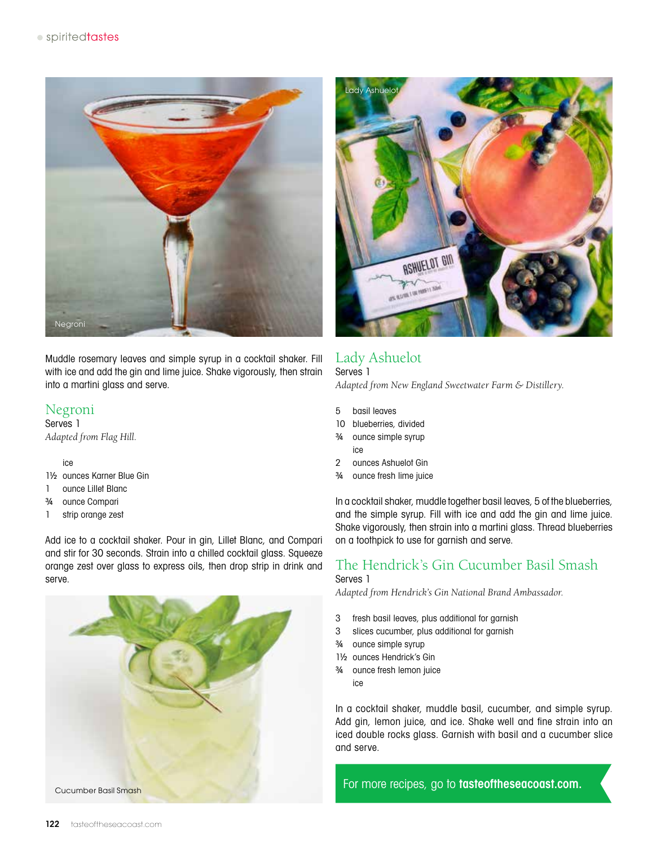

Muddle rosemary leaves and simple syrup in a cocktail shaker. Fill with ice and add the gin and lime juice. Shake vigorously, then strain into a martini glass and serve.

#### Negroni

Serves 1 *Adapted from Flag Hill.*

ice

- 1½ ounces Karner Blue Gin
- 1 ounce Lillet Blanc
- ¾ ounce Compari
- 1 strip orange zest

Add ice to a cocktail shaker. Pour in gin, Lillet Blanc, and Compari and stir for 30 seconds. Strain into a chilled cocktail glass. Squeeze orange zest over glass to express oils, then drop strip in drink and serve.





## Lady Ashuelot

Serves 1 *Adapted from New England Sweetwater Farm & Distillery.*

- 5 basil leaves
- 10 blueberries, divided
- ¾ ounce simple syrup ice
- 2 ounces Ashuelot Gin
- ¾ ounce fresh lime juice

In a cocktail shaker, muddle together basil leaves, 5 of the blueberries, and the simple syrup. Fill with ice and add the gin and lime juice. Shake vigorously, then strain into a martini glass. Thread blueberries on a toothpick to use for garnish and serve.

#### The Hendrick's Gin Cucumber Basil Smash Serves 1

*Adapted from Hendrick's Gin National Brand Ambassador.*

- 3 fresh basil leaves, plus additional for garnish
- 3 slices cucumber, plus additional for garnish
- ¾ ounce simple syrup
- 1½ ounces Hendrick's Gin
- ¾ ounce fresh lemon juice ice

In a cocktail shaker, muddle basil, cucumber, and simple syrup. Add gin, lemon juice, and ice. Shake well and fine strain into an iced double rocks glass. Garnish with basil and a cucumber slice and serve.